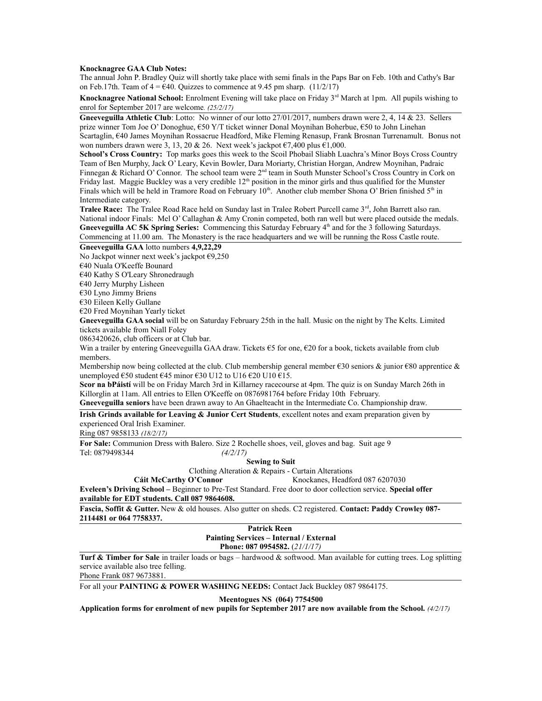### **Knocknagree GAA Club Notes:**

The annual John P. Bradley Quiz will shortly take place with semi finals in the Paps Bar on Feb. 10th and Cathy's Bar on Feb.17th. Team of  $4 = 640$ . Quizzes to commence at 9.45 pm sharp. (11/2/17)

**Knocknagree National School:** Enrolment Evening will take place on Friday 3rd March at 1pm. All pupils wishing to enrol for September 2017 are welcome*. (25/2/17)*

**Gneeveguilla Athletic Club**: Lotto: No winner of our lotto 27/01/2017, numbers drawn were 2, 4, 14 & 23. Sellers prize winner Tom Joe O' Donoghue, €50 Y/T ticket winner Donal Moynihan Boherbue, €50 to John Linehan Scartaglin, €40 James Moynihan Rossacrue Headford, Mike Fleming Renasup, Frank Brosnan Turrenamult. Bonus not won numbers drawn were 3, 13, 20 & 26. Next week's jackpot  $\epsilon$ 7,400 plus  $\epsilon$ 1,000.

**School's Cross Country:** Top marks goes this week to the Scoil Phobail Sliabh Luachra's Minor Boys Cross Country Team of Ben Murphy, Jack O' Leary, Kevin Bowler, Dara Moriarty, Christian Horgan, Andrew Moynihan, Padraic Finnegan & Richard O' Connor. The school team were 2<sup>nd</sup> team in South Munster School's Cross Country in Cork on Friday last. Maggie Buckley was a very credible  $12<sup>th</sup>$  position in the minor girls and thus qualified for the Munster Finals which will be held in Tramore Road on February 10<sup>th</sup>. Another club member Shona O' Brien finished 5<sup>th</sup> in Intermediate category.

**Tralee Race:** The Tralee Road Race held on Sunday last in Tralee Robert Purcell came 3rd, John Barrett also ran. National indoor Finals: Mel O' Callaghan & Amy Cronin competed, both ran well but were placed outside the medals. Gneeveguilla AC 5K Spring Series: Commencing this Saturday February 4<sup>th</sup> and for the 3 following Saturdays. Commencing at 11.00 am. The Monastery is the race headquarters and we will be running the Ross Castle route.

#### **Gneeveguilla GAA** lotto numbers **4,9,22,29**

No Jackpot winner next week's jackpot €9,250

€40 Nuala O'Keeffe Bounard

€40 Kathy S O'Leary Shronedraugh

€40 Jerry Murphy Lisheen

€30 Lyno Jimmy Briens

€30 Eileen Kelly Gullane

€20 Fred Moynihan Yearly ticket

**Gneeveguilla GAA social** will be on Saturday February 25th in the hall. Music on the night by The Kelts. Limited tickets available from Niall Foley

0863420626, club officers or at Club bar.

Win a trailer by entering Gneeveguilla GAA draw. Tickets  $\epsilon$ 5 for one,  $\epsilon$ 20 for a book, tickets available from club members.

Membership now being collected at the club. Club membership general member  $\epsilon$ 30 seniors & junior  $\epsilon$ 80 apprentice & unemployed €50 student €45 minor €30 U12 to U16 €20 U10 €15.

**Scor na bPáistí** will be on Friday March 3rd in Killarney racecourse at 4pm. The quiz is on Sunday March 26th in Killorglin at 11am. All entries to Ellen O'Keeffe on 0876981764 before Friday 10th February.

**Gneeveguilla seniors** have been drawn away to An Ghaelteacht in the Intermediate Co. Championship draw.

**Irish Grinds available for Leaving & Junior Cert Students**, excellent notes and exam preparation given by experienced Oral Irish Examiner.

Ring 087 9858133 *(18/2/17)*

**For Sale:** Communion Dress with Balero. Size 2 Rochelle shoes, veil, gloves and bag. Suit age 9 Tel: 0879498344 *(4/2/17)*

#### **Sewing to Suit**

Clothing Alteration & Repairs - Curtain Alterations

Cáit McCarthy O'Connor<br>
Knockanes, Headford 087 6207030

**Eveleen's Driving School –** Beginner to Pre-Test Standard. Free door to door collection service. **Special offer available for EDT students. Call 087 9864608.** 

**Fascia, Soffit & Gutter.** New & old houses. Also gutter on sheds. C2 registered. **Contact: Paddy Crowley 087- 2114481 or 064 7758337.** 

### **Patrick Reen Painting Services – Internal / External Phone: 087 0954582.** (*21/1/17)*

**Turf & Timber for Sale** in trailer loads or bags – hardwood & softwood. Man available for cutting trees. Log splitting service available also tree felling.

Phone Frank 087 9673881.

For all your **PAINTING & POWER WASHING NEEDS:** Contact Jack Buckley 087 9864175.

**Meentogues NS (064) 7754500**

**Application forms for enrolment of new pupils for September 2017 are now available from the School.** *(4/2/17)*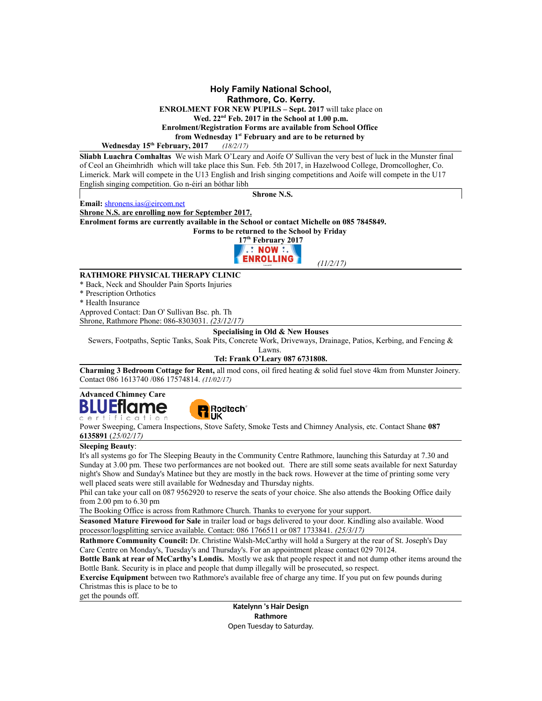### **Holy Family National School, Rathmore, Co. Kerry. ENROLMENT FOR NEW PUPILS – Sept. 2017** will take place on **Wed. 22nd Feb. 2017 in the School at 1.00 p.m. Enrolment/Registration Forms are available from School Office from Wednesday 1st February and are to be returned by**

### **Wednesday 15th February, 2017** *(18/2/17)*

**Sliabh Luachra Comhaltas** We wish Mark O'Leary and Aoife O' Sullivan the very best of luck in the Munster final of Ceol an Gheimhridh which will take place this Sun. Feb. 5th 2017, in Hazelwood College, Dromcollogher, Co. Limerick. Mark will compete in the U13 English and Irish singing competitions and Aoife will compete in the U17 English singing competition. Go n-éirí an bóthar libh

**Email:** [shronens.ias@eircom.net](mailto:shronens.ias@eircom.net)

**Shrone N.S.**

**Shrone N.S. are enrolling now for September 2017. Enrolment forms are currently available in the School or contact Michelle on 085 7845849.**

**Forms to be returned to the School by Friday** 



### **RATHMORE PHYSICAL THERAPY CLINIC**

\* Back, Neck and Shoulder Pain Sports Injuries

\* Prescription Orthotics

\* Health Insurance

Approved Contact: Dan O' Sullivan Bsc. ph. Th Shrone, Rathmore Phone: 086-8303031. *(23/12/17)*

## **Specialising in Old & New Houses**

Sewers, Footpaths, Septic Tanks, Soak Pits, Concrete Work, Driveways, Drainage, Patios, Kerbing, and Fencing &

Lawns.

## **Tel: Frank O'Leary 087 6731808.**

**Charming 3 Bedroom Cottage for Rent,** all mod cons, oil fired heating & solid fuel stove 4km from Munster Joinery. Contact 086 1613740 /086 17574814. *(11/02/17)*

#### **Advanced Chimney Care** Еt ome fication



Power Sweeping, Camera Inspections, Stove Safety, Smoke Tests and Chimney Analysis, etc. Contact Shane **087 6135891** (*25/02/17)*

### **Sleeping Beauty**:

It's all systems go for The Sleeping Beauty in the Community Centre Rathmore, launching this Saturday at 7.30 and Sunday at 3.00 pm. These two performances are not booked out. There are still some seats available for next Saturday night's Show and Sunday's Matinee but they are mostly in the back rows. However at the time of printing some very well placed seats were still available for Wednesday and Thursday nights.

Phil can take your call on 087 9562920 to reserve the seats of your choice. She also attends the Booking Office daily from 2.00 pm to 6.30 pm

The Booking Office is across from Rathmore Church. Thanks to everyone for your support.

**Seasoned Mature Firewood for Sale** in trailer load or bags delivered to your door. Kindling also available. Wood processor/logsplitting service available. Contact: 086 1766511 or 087 1733841. *(25/3/17)*

**Rathmore Community Council:** Dr. Christine Walsh-McCarthy will hold a Surgery at the rear of St. Joseph's Day Care Centre on Monday's, Tuesday's and Thursday's. For an appointment please contact 029 70124.

**Bottle Bank at rear of McCarthy's Londis.** Mostly we ask that people respect it and not dump other items around the Bottle Bank. Security is in place and people that dump illegally will be prosecuted, so respect.

**Exercise Equipment** between two Rathmore's available free of charge any time. If you put on few pounds during Christmas this is place to be to

get the pounds off.

**Katelynn 's Hair Design Rathmore** Open Tuesday to Saturday.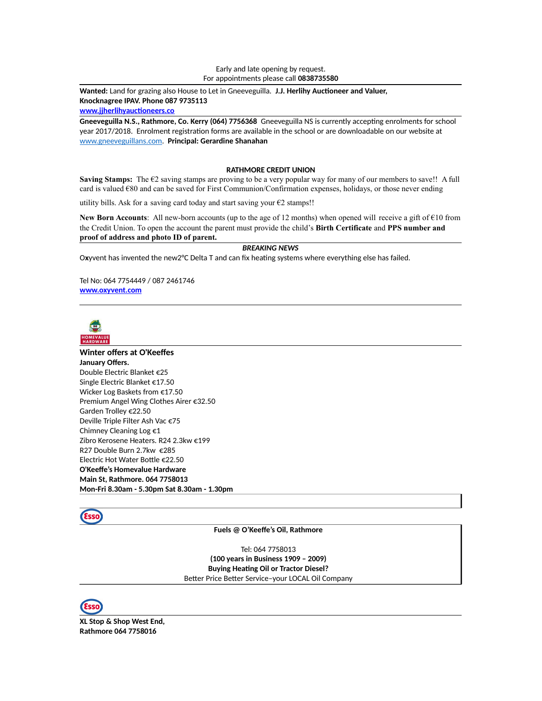#### Early and late opening by request. For appointments please call **0838735580**

**Wanted:** Land for grazing also House to Let in Gneeveguilla. **J.J. Herlihy Auctioneer and Valuer, Knocknagree IPAV. Phone 087 9735113 [www.jjherlihyauctioneers.co](file:///srv/www/vhosts/releases/4/save/queued/e/9/5/e955c8725e7c51348d15b8d766ca8572/www.jjherlihyauctioneers.co)**

**Gneeveguilla N.S., Rathmore, Co. Kerry (064) 7756368** Gneeveguilla NS is currently accepting enrolments for school year 2017/2018. Enrolment registration forms are available in the school or are downloadable on our website at [www.gneeveguillans.com.](http://www.gneeveguillans.com/) **Principal: Gerardine Shanahan**

#### **RATHMORE CREDIT UNION**

Saving Stamps: The €2 saving stamps are proving to be a very popular way for many of our members to save!! A full card is valued €80 and can be saved for First Communion/Confirmation expenses, holidays, or those never ending

utility bills. Ask for a saving card today and start saving your  $\epsilon$ 2 stamps!!

**New Born Accounts**: All new-born accounts (up to the age of 12 months) when opened will receive a gift of €10 from the Credit Union. To open the account the parent must provide the child's **Birth Certificate** and **PPS number and proof of address and photo ID of parent.**

## *BREAKING NEWS*

O**x**yvent has invented the new2°C Delta T and can fix heating systems where everything else has failed.

Tel No: 064 7754449 / 087 2461746 **[www.oxyvent.com](http://www.oxyvent.com/)**



# **Winter offers at O'Keeffes**

**January Offers.** Double Electric Blanket €25 Single Electric Blanket €17.50 Wicker Log Baskets from €17.50 Premium Angel Wing Clothes Airer €32.50 Garden Trolley €22.50 Deville Triple Filter Ash Vac €75 Chimney Cleaning Log €1 Zibro Kerosene Heaters. R24 2.3kw €199 R27 Double Burn 2.7kw €285 Electric Hot Water Bottle €22.50 **O'Keeffe's Homevalue Hardware Main St, Rathmore. 064 7758013 Mon-Fri 8.30am - 5.30pm Sat 8.30am - 1.30pm**



### **Fuels @ O'Keeffe's Oil, Rathmore**

Tel: 064 7758013 **(100 years in Business 1909 – 2009) Buying Heating Oil or Tractor Diesel?** Better Price Better Service–your LOCAL Oil Company



**XL Stop & Shop West End, Rathmore 064 7758016**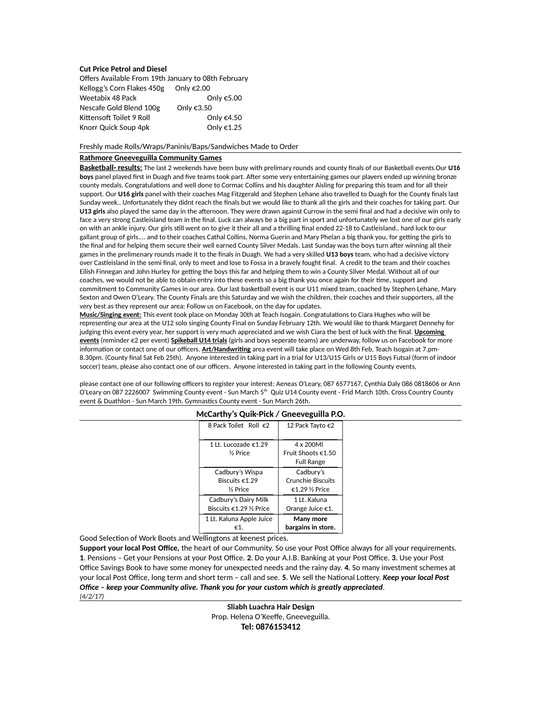### **Cut Price Petrol and Diesel**

| Offers Available From 19th January to 08th February |                      |  |
|-----------------------------------------------------|----------------------|--|
| Kellogg's Corn Flakes 450g                          | Only $\epsilon$ 2.00 |  |
| Weetabix 48 Pack                                    | Only €5.00           |  |
| Nescafe Gold Blend 100g                             | Only €3.50           |  |
| Kittensoft Toilet 9 Roll                            | Only €4.50           |  |
| Knorr Quick Soup 4pk                                | Only €1.25           |  |

Freshly made Rolls/Wraps/Paninis/Baps/Sandwiches Made to Order

#### **Rathmore Gneeveguilla Community Games**

**Basketball- results:** The last 2 weekends have been busy with prelimary rounds and county finals of our Basketball events.Our **U16 boys** panel played first in Duagh and five teams took part. After some very entertaining games our players ended up winning bronze county medals. Congratulations and well done to Cormac Collins and his daughter Aisling for preparing this team and for all their support. Our **U16 girls** panel with their coaches Mag Fitzgerald and Stephen Lehane also travelled to Duagh for the County finals last Sunday week.. Unfortunately they didnt reach the finals but we would like to thank all the girls and their coaches for taking part. Our **U13 girls** also played the same day in the afternoon. They were drawn against Currow in the semi final and had a decisive win only to face a very strong Castleisland team in the final. Luck can always be a big part in sport and unfortunately we lost one of our girls early on with an ankle injury. Our girls still went on to give it their all and a thrilling final ended 22-18 to Castleisland.. hard luck to our gallant group of girls.... and to their coaches Cathal Collins, Norma Guerin and Mary Phelan a big thank you, for getting the girls to the final and for helping them secure their well earned County Silver Medals. Last Sunday was the boys turn after winning all their games in the prelimenary rounds made it to the finals in Duagh. We had a very skilled **U13 boys** team, who had a decisive victory over Castleisland in the semi final, only to meet and lose to Fossa in a bravely fought final. A credit to the team and their coaches Eilish Finnegan and John Hurley for getting the boys this far and helping them to win a County Silver Medal. Without all of our coaches, we would not be able to obtain entry into these events so a big thank you once again for their time, support and commitment to Community Games in our area. Our last basketball event is our U11 mixed team, coached by Stephen Lehane, Mary Sexton and Owen O'Leary. The County Finals are this Saturday and we wish the children, their coaches and their supporters, all the very best as they represent our area: Follow us on Facebook, on the day for updates.

**Music/Singing event:** This event took place on Monday 30th at Teach Isogain. Congratulations to Ciara Hughes who will be representing our area at the U12 solo singing County Final on Sunday February 12th. We would like to thank Margaret Dennehy for judging this event every year, her support is very much appreciated and we wish Ciara the best of luck with the final. **Upcoming events** (reminder €2 per event) **Spikeball U14 trials** (girls and boys seperate teams) are underway, follow us on Facebook for more information or contact one of our officers. **Art/Handwriting** area event will take place on Wed 8th Feb, Teach Isogain at 7.pm-8.30pm. (County final Sat Feb 25th). Anyone interested in taking part in a trial for U13/U15 Girls or U15 Boys Futsal (form of indoor soccer) team, please also contact one of our officers. Anyone interested in taking part in the following County events,

please contact one of our following officers to register your interest: Aeneas O'Leary, 087 6577167, Cynthia Daly 086 0818606 or Ann O'Leary on 087 2226007 Swimming County event - Sun March 5<sup>th</sup> Quiz U14 County event - Frid March 10th. Cross Country County event & Duathlon - Sun March 19th. Gymnastics County event - Sun March 26th.

| 8 Pack Toilet Roll $\epsilon$ 2 | 12 Pack Tayto €2             |
|---------------------------------|------------------------------|
|                                 |                              |
| 1 It. Lucozade $\epsilon$ 1.29  | 4 x 200Ml                    |
| 1/ <sub>2</sub> Price           | Fruit Shoots $\epsilon$ 1.50 |
|                                 | <b>Full Range</b>            |
| Cadbury's Wispa                 | Cadbury's                    |
| Biscuits $\epsilon$ 1.29        | <b>Crunchie Biscuits</b>     |
| % Price                         | €1.29 ½ Price                |
| Cadbury's Dairy Milk            | 1 It. Kaluna                 |
| Biscuits €1.29 % Price          | Orange Juice $\epsilon$ 1.   |
| 1 Lt. Kaluna Apple Juice        | Many more                    |
| €1                              | bargains in store.           |

### **McCarthy's Quik-Pick / Gneeveguilla P.O.**

Good Selection of Work Boots and Wellingtons at keenest prices.

**Support your local Post Office,** the heart of our Community. So use your Post Office always for all your requirements. **1**. Pensions – Get your Pensions at your Post Office. **2**. Do your A.I.B. Banking at your Post Office. **3**. Use your Post Office Savings Book to have some money for unexpected needs and the rainy day. **4**. So many investment schemes at your local Post Office, long term and short term – call and see. **5**. We sell the National Lottery. *Keep your local Post Office – keep your Community alive. Thank you for your custom which is greatly appreciated. (4/2/17)*

> **Sliabh Luachra Hair Design** Prop. Helena O'Keeffe, Gneeveguilla. **Tel: 0876153412**